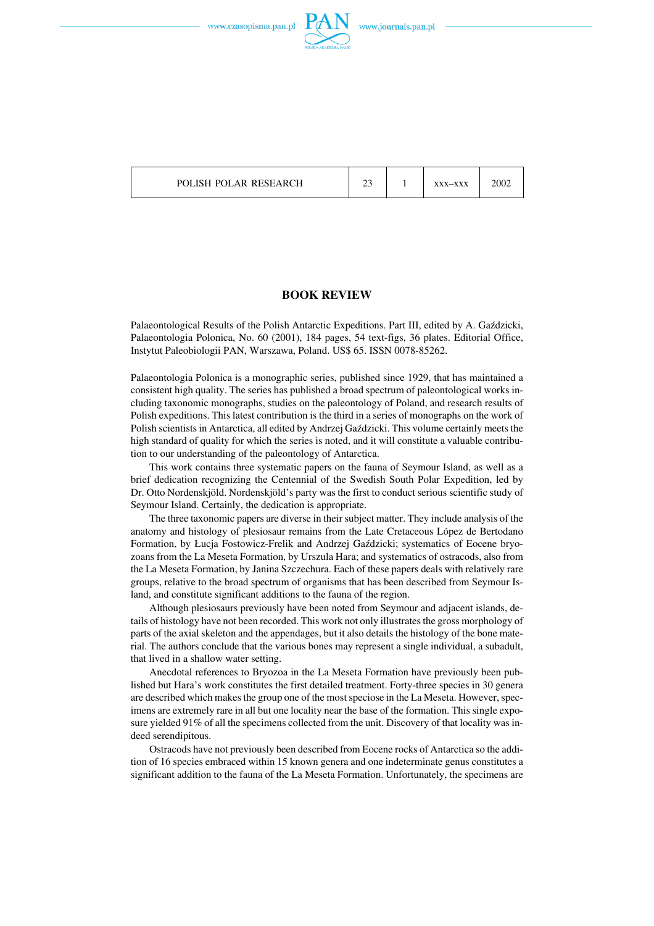



## POLISH POLAR RESEARCH 23 1 xxx-xxx 2002

## **BOOK REVIEW**

Palaeontological Results of the Polish Antarctic Expeditions. Part III, edited by A. Gaździcki, Palaeontologia Polonica, No. 60 (2001), 184 pages, 54 text−figs, 36 plates. Editorial Office, Instytut Paleobiologii PAN, Warszawa, Poland. US\$ 65. ISSN 0078−85262.

Palaeontologia Polonica is a monographic series, published since 1929, that has maintained a consistent high quality. The series has published a broad spectrum of paleontological works in− cluding taxonomic monographs, studies on the paleontology of Poland, and research results of Polish expeditions. This latest contribution is the third in a series of monographs on the work of Polish scientists in Antarctica, all edited by Andrzej Gaździcki. This volume certainly meets the high standard of quality for which the series is noted, and it will constitute a valuable contribu− tion to our understanding of the paleontology of Antarctica.

This work contains three systematic papers on the fauna of Seymour Island, as well as a brief dedication recognizing the Centennial of the Swedish South Polar Expedition, led by Dr. Otto Nordenskjöld. Nordenskjöld's party was the first to conduct serious scientific study of Seymour Island. Certainly, the dedication is appropriate.

The three taxonomic papers are diverse in their subject matter. They include analysis of the anatomy and histology of plesiosaur remains from the Late Cretaceous López de Bertodano Formation, by Łucja Fostowicz−Frelik and Andrzej Gaździcki; systematics of Eocene bryo− zoans from the La Meseta Formation, by Urszula Hara; and systematics of ostracods, also from the La Meseta Formation, by Janina Szczechura. Each of these papers deals with relatively rare groups, relative to the broad spectrum of organisms that has been described from Seymour Is− land, and constitute significant additions to the fauna of the region.

Although plesiosaurs previously have been noted from Seymour and adjacent islands, de− tails of histology have not been recorded. This work not only illustrates the gross morphology of parts of the axial skeleton and the appendages, but it also details the histology of the bone mate− rial. The authors conclude that the various bones may represent a single individual, a subadult, that lived in a shallow water setting.

Anecdotal references to Bryozoa in the La Meseta Formation have previously been pub− lished but Hara's work constitutes the first detailed treatment. Forty−three species in 30 genera are described which makes the group one of the most speciose in the La Meseta. However, spec− imens are extremely rare in all but one locality near the base of the formation. This single expo− sure yielded 91% of all the specimens collected from the unit. Discovery of that locality was in− deed serendipitous.

Ostracods have not previously been described from Eocene rocks of Antarctica so the addi− tion of 16species embraced within 15 known genera and one indeterminate genus constitutes a significant addition to the fauna of the La Meseta Formation. Unfortunately, the specimens are